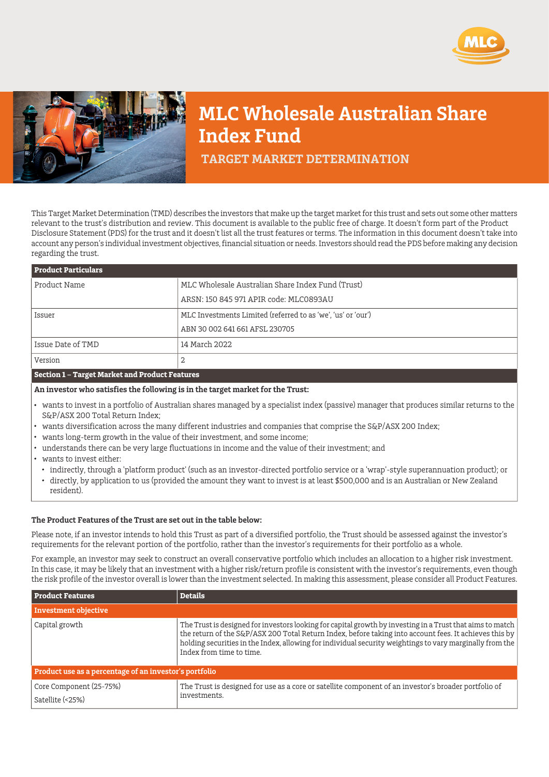



## **MLC Wholesale Australian Share Index Fund**

 **TARGET MARKET DETERMINATION**

This Target Market Determination (TMD) describes the investors that make up the target market for this trust and sets out some other matters relevant to the trust's distribution and review. This document is available to the public free of charge. It doesn't form part of the Product Disclosure Statement (PDS) for the trust and it doesn't list all the trust features or terms. The information in this document doesn't take into account any person's individual investment objectives, financial situation or needs. Investors should read the PDS before making any decision regarding the trust.

| <b>Product Particulars</b> |                                                              |  |
|----------------------------|--------------------------------------------------------------|--|
| Product Name               | MLC Wholesale Australian Share Index Fund (Trust)            |  |
|                            | ARSN: 150 845 971 APIR code: MLC0893AU                       |  |
| Issuer                     | MLC Investments Limited (referred to as 'we', 'us' or 'our') |  |
|                            | ABN 30 002 641 661 AFSL 230705                               |  |
| Issue Date of TMD          | 14 March 2022                                                |  |
| Version                    | 2                                                            |  |
|                            |                                                              |  |

## **Section 1 – Target Market and Product Features**

**An investor who satisfies the following is in the target market for the Trust:**

- wants to invest in a portfolio of Australian shares managed by a specialist index (passive) manager that produces similar returns to the S&P/ASX 200 Total Return Index;
- wants diversification across the many different industries and companies that comprise the S&P/ASX 200 Index;
- wants long-term growth in the value of their investment, and some income;
- understands there can be very large fluctuations in income and the value of their investment; and
- wants to invest either:
	- indirectly, through a 'platform product' (such as an investor-directed portfolio service or a 'wrap'-style superannuation product); or
	- directly, by application to us (provided the amount they want to invest is at least \$500,000 and is an Australian or New Zealand resident).

## **The Product Features of the Trust are set out in the table below:**

Please note, if an investor intends to hold this Trust as part of a diversified portfolio, the Trust should be assessed against the investor's requirements for the relevant portion of the portfolio, rather than the investor's requirements for their portfolio as a whole.

For example, an investor may seek to construct an overall conservative portfolio which includes an allocation to a higher risk investment. In this case, it may be likely that an investment with a higher risk/return profile is consistent with the investor's requirements, even though the risk profile of the investor overall is lower than the investment selected. In making this assessment, please consider all Product Features.

| <b>Product Features</b>                                | <b>Details</b>                                                                                                                                                                                                                                                                                                                                              |  |
|--------------------------------------------------------|-------------------------------------------------------------------------------------------------------------------------------------------------------------------------------------------------------------------------------------------------------------------------------------------------------------------------------------------------------------|--|
| <b>Investment objective</b>                            |                                                                                                                                                                                                                                                                                                                                                             |  |
| Capital growth                                         | The Trust is designed for investors looking for capital growth by investing in a Trust that aims to match<br>the return of the S&P/ASX 200 Total Return Index, before taking into account fees. It achieves this by<br>holding securities in the Index, allowing for individual security weightings to vary marginally from the<br>Index from time to time. |  |
| Product use as a percentage of an investor's portfolio |                                                                                                                                                                                                                                                                                                                                                             |  |
| Core Component (25-75%)<br>Satellite (<25%)            | The Trust is designed for use as a core or satellite component of an investor's broader portfolio of<br>investments.                                                                                                                                                                                                                                        |  |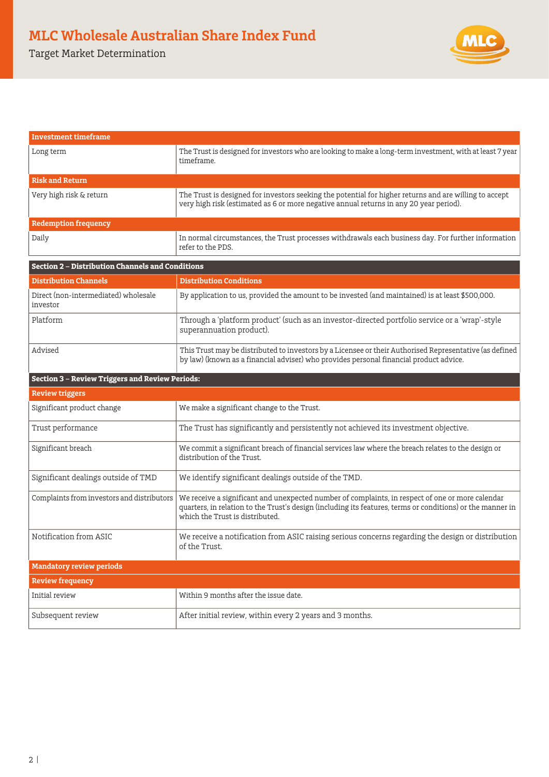Target Market Determination



| Investment timeframe                                    |                                                                                                                                                                                                                                                   |  |  |
|---------------------------------------------------------|---------------------------------------------------------------------------------------------------------------------------------------------------------------------------------------------------------------------------------------------------|--|--|
| Long term                                               | The Trust is designed for investors who are looking to make a long-term investment, with at least 7 year<br>timeframe.                                                                                                                            |  |  |
| <b>Risk and Return</b>                                  |                                                                                                                                                                                                                                                   |  |  |
| Very high risk & return                                 | The Trust is designed for investors seeking the potential for higher returns and are willing to accept<br>very high risk (estimated as 6 or more negative annual returns in any 20 year period).                                                  |  |  |
| <b>Redemption frequency</b>                             |                                                                                                                                                                                                                                                   |  |  |
| Daily                                                   | In normal circumstances, the Trust processes withdrawals each business day. For further information<br>refer to the PDS.                                                                                                                          |  |  |
| <b>Section 2 - Distribution Channels and Conditions</b> |                                                                                                                                                                                                                                                   |  |  |
| <b>Distribution Channels</b>                            | <b>Distribution Conditions</b>                                                                                                                                                                                                                    |  |  |
| Direct (non-intermediated) wholesale<br>investor        | By application to us, provided the amount to be invested (and maintained) is at least \$500,000.                                                                                                                                                  |  |  |
| Platform                                                | Through a 'platform product' (such as an investor-directed portfolio service or a 'wrap'-style<br>superannuation product).                                                                                                                        |  |  |
| Advised                                                 | This Trust may be distributed to investors by a Licensee or their Authorised Representative (as defined<br>by law) (known as a financial adviser) who provides personal financial product advice.                                                 |  |  |
| <b>Section 3 - Review Triggers and Review Periods:</b>  |                                                                                                                                                                                                                                                   |  |  |
| <b>Review triggers</b>                                  |                                                                                                                                                                                                                                                   |  |  |
| Significant product change                              | We make a significant change to the Trust.                                                                                                                                                                                                        |  |  |
| Trust performance                                       | The Trust has significantly and persistently not achieved its investment objective.                                                                                                                                                               |  |  |
| Significant breach                                      | We commit a significant breach of financial services law where the breach relates to the design or<br>distribution of the Trust.                                                                                                                  |  |  |
| Significant dealings outside of TMD                     | We identify significant dealings outside of the TMD.                                                                                                                                                                                              |  |  |
| Complaints from investors and distributors              | We receive a significant and unexpected number of complaints, in respect of one or more calendar<br>quarters, in relation to the Trust's design (including its features, terms or conditions) or the manner in<br>which the Trust is distributed. |  |  |
| Notification from ASIC                                  | We receive a notification from ASIC raising serious concerns regarding the design or distribution<br>of the Trust.                                                                                                                                |  |  |
| <b>Mandatory review periods</b>                         |                                                                                                                                                                                                                                                   |  |  |
| <b>Review frequency</b>                                 |                                                                                                                                                                                                                                                   |  |  |
| Initial review                                          | Within 9 months after the issue date.                                                                                                                                                                                                             |  |  |
| Subsequent review                                       | After initial review, within every 2 years and 3 months.                                                                                                                                                                                          |  |  |